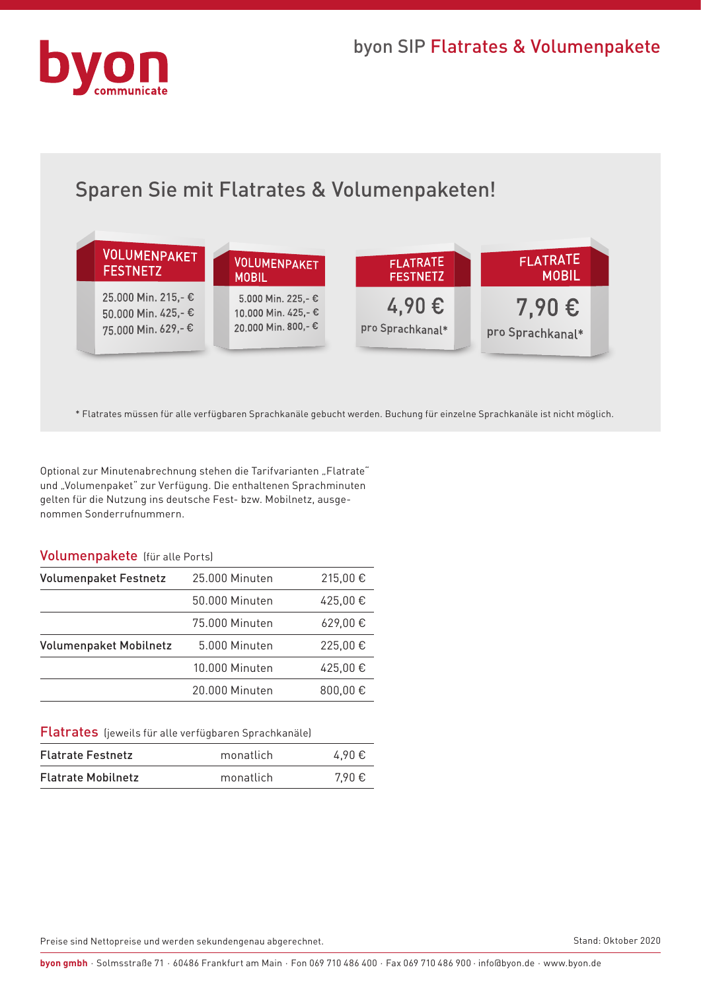

# Sparen Sie mit Flatrates & Volumenpaketen!



\* Flatrates müssen für alle verfügbaren Sprachkanäle gebucht werden. Buchung für einzelne Sprachkanäle ist nicht möglich.

Optional zur Minutenabrechnung stehen die Tarifvarianten "Flatrate" und "Volumenpaket" zur Verfügung. Die enthaltenen Sprachminuten gelten für die Nutzung ins deutsche Fest- bzw. Mobilnetz, ausgenommen Sonderrufnummern.

#### Volumenpakete (für alle Ports)

| <b>Volumenpaket Festnetz</b>  | 25.000 Minuten | 215,00€ |
|-------------------------------|----------------|---------|
|                               | 50.000 Minuten | 425,00€ |
|                               | 75,000 Minuten | 629,00€ |
| <b>Volumenpaket Mobilnetz</b> | 5.000 Minuten  | 225,00€ |
|                               | 10.000 Minuten | 425,00€ |
|                               | 20.000 Minuten | 800,00€ |

Flatrates (jeweils für alle verfügbaren Sprachkanäle)

| <b>Flatrate Festnetz</b>  | monatlich | 4.90€ |
|---------------------------|-----------|-------|
| <b>Flatrate Mobilnetz</b> | monatlich | 7.90€ |

Preise sind Nettopreise und werden sekundengenau abgerechnet.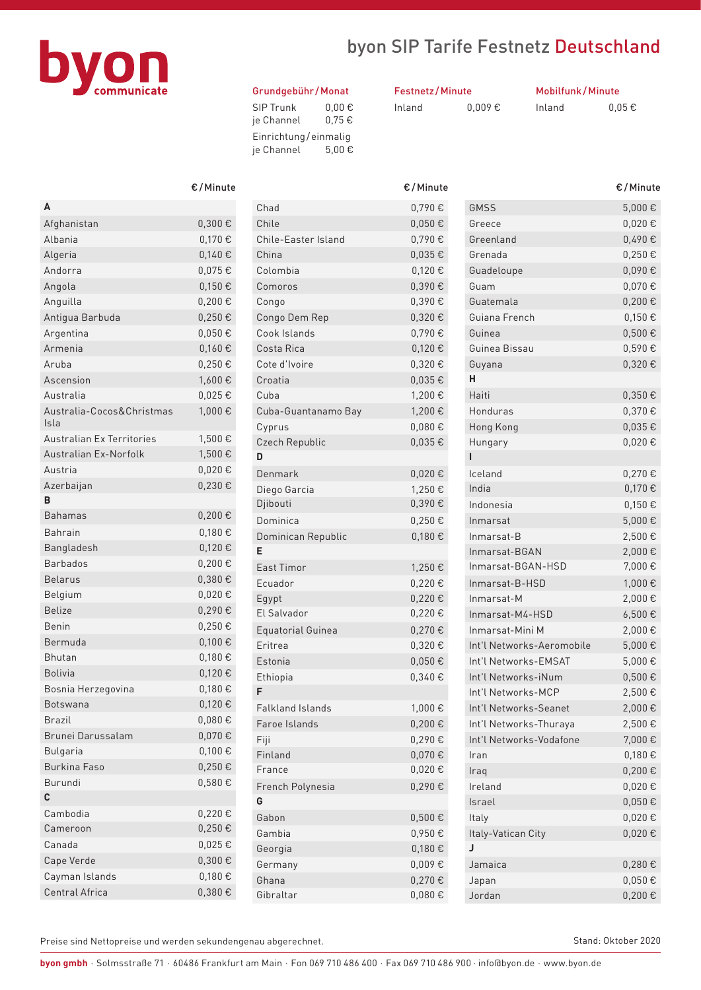

## byon SIP Tarife Festnetz Deutschland

#### Grundgebühr /Monat

| <b>SIP Trunk</b>     | $0.00 \in$ |
|----------------------|------------|
| je Channel           | 0.75E      |
| Einrichtung/einmaliq |            |
| je Channel           | 5.00€      |

| <b>Festnetz/Minute</b> |             |  |
|------------------------|-------------|--|
| Inland                 | $0.009 \in$ |  |

Mobilfunk/Minute Inland

| $0.05 \in$ |  |
|------------|--|

|                                   | €/Minut     |
|-----------------------------------|-------------|
| Α                                 |             |
| Afghanistan                       | 0,300€      |
| Albania                           | 0,170€      |
| Algeria                           | 0.140€      |
| Andorra                           | 0,075€      |
| Angola                            | $0,150 \in$ |
| Anguilla                          | $0.200 \in$ |
| Antigua Barbuda                   | 0,250€      |
| Argentina                         | 0,050€      |
| Armenia                           | 0,160€      |
| Aruba                             | 0,250€      |
| Ascension                         | 1,600€      |
| Australia                         | $0,025 \in$ |
| Australia-Cocos&Christmas<br>Isla | 1,000€      |
| <b>Australian Ex Territories</b>  | 1,500€      |
| Australian Ex-Norfolk             | 1,500€      |
| Austria                           | $0,020 \in$ |
| Azerbaijan                        | 0,230€      |
| B                                 |             |
| <b>Bahamas</b>                    | $0,200 \in$ |
| Bahrain                           | 0,180€      |
| Bangladesh                        | 0,120€      |
| <b>Barbados</b>                   | $0,200 \in$ |
| Belarus                           | $0,380 \in$ |
| Belgium                           | 0,020€      |
| <b>Belize</b>                     | 0,290€      |
| Benin                             | 0,250€      |
| Bermuda                           | $0,100 \in$ |
| Bhutan                            | 0,180€      |
| Bolivia                           | 0,120€      |
| Bosnia Herzegovina                | 0,180€      |
| Botswana                          | 0,120€      |
| Brazil                            | $0,080 \in$ |
| Brunei Darussalam                 | 0,070€      |
| <b>Bulgaria</b>                   | 0,100€      |
| <b>Burkina Faso</b>               | 0,250€      |
| Burundi                           | 0,580€      |
| C                                 |             |
| Cambodia                          | 0,220€      |
| Cameroon                          | 0,250€      |
| Canada                            | 0,025€      |
| Cape Verde                        | $0,300 \in$ |
| Cayman Islands                    | 0,180€      |
| Central Africa                    | 0,380€      |

| €/Minute    |                          | €/Minute    |                           | €/Minute    |
|-------------|--------------------------|-------------|---------------------------|-------------|
|             | Chad                     | 0,790€      | <b>GMSS</b>               | 5,000€      |
| 0,300€      | Chile                    | $0,050 \in$ | Greece                    | 0,020€      |
| 0,170€      | Chile-Easter Island      | 0,790€      | Greenland                 | 0,490€      |
| 0,140€      | China                    | $0,035 \in$ | Grenada                   | 0,250€      |
| 0,075€      | Colombia                 | 0,120€      | Guadeloupe                | $0,090 \in$ |
| 0,150€      | Comoros                  | 0,390€      | Guam                      | 0,070€      |
| 0,200€      | Congo                    | 0,390€      | Guatemala                 | 0,200€      |
| $0,250 \in$ | Congo Dem Rep            | 0,320€      | Guiana French             | 0,150€      |
| 0,050€      | Cook Islands             | 0,790€      | Guinea                    | $0,500 \in$ |
| 0,160€      | Costa Rica               | 0,120€      | Guinea Bissau             | $0,590 \in$ |
| $0,250 \in$ | Cote d'Ivoire            | 0,320€      | Guyana                    | 0,320€      |
| 1,600€      | Croatia                  | $0,035 \in$ | н                         |             |
| $0,025 \in$ | Cuba                     | 1,200€      | Haiti                     | $0,350 \in$ |
| 1,000€      | Cuba-Guantanamo Bay      | 1,200€      | Honduras                  | $0,370 \in$ |
|             | Cyprus                   | 0,080€      | Hong Kong                 | $0,035 \in$ |
| 1,500€      | Czech Republic           | $0,035 \in$ | Hungary                   | $0,020 \in$ |
| 1,500€      | D                        |             | ı                         |             |
| $0,020 \in$ | Denmark                  | 0,020€      | Iceland                   | 0,270€      |
| 0,230€      | Diego Garcia             | 1,250€      | India                     | $0,170 \in$ |
|             | Djibouti                 | 0,390€      | Indonesia                 | 0,150€      |
| 0,200€      | Dominica                 | 0,250€      | Inmarsat                  | 5,000€      |
| 0,180€      | Dominican Republic       | 0,180€      | Inmarsat-B                | 2,500€      |
| 0,120€      | E                        |             | Inmarsat-BGAN             | 2,000€      |
| $0,200 \in$ | <b>East Timor</b>        | 1,250€      | Inmarsat-BGAN-HSD         | 7,000€      |
| 0,380€      | Ecuador                  | 0,220€      | Inmarsat-B-HSD            | 1,000€      |
| 0,020€      | Egypt                    | 0,220€      | Inmarsat-M                | 2,000€      |
| 0,290€      | El Salvador              | $0,220 \in$ | Inmarsat-M4-HSD           | $6,500 \in$ |
| $0,250 \in$ | <b>Equatorial Guinea</b> | 0,270€      | Inmarsat-Mini M           | 2,000€      |
| $0,100 \in$ | Eritrea                  | $0,320 \in$ | Int'l Networks-Aeromobile | 5,000€      |
| 0,180€      | Estonia                  | 0,050€      | Int'l Networks-EMSAT      | 5,000€      |
| 0,120€      | Ethiopia                 | 0,340€      | Int'l Networks-iNum       | $0,500 \in$ |
| 0,180€      | F                        |             | Int'l Networks-MCP        | 2,500€      |
| 0,120€      | <b>Falkland Islands</b>  | 1,000€      | Int'l Networks-Seanet     | 2,000€      |
| $0,080 \in$ | Faroe Islands            | 0,200€      | Int'l Networks-Thuraya    | 2,500€      |
| 0,070€      | Fiji                     | 0,290€      | Int'l Networks-Vodafone   | 7,000€      |
| $0,100 \in$ | Finland                  | 0,070€      | Iran                      | $0,180 \in$ |
| $0,250 \in$ | France                   | 0,020€      | Iraq                      | $0,200 \in$ |
| $0,580 \in$ | French Polynesia         | 0,290€      | Ireland                   | $0,020 \in$ |
|             | G                        |             | Israel                    | $0,050 \in$ |
| 0,220€      | Gabon                    | $0,500 \in$ | Italy                     | $0,020 \in$ |
| $0,250 \in$ | Gambia                   | 0,950€      | Italy-Vatican City        | $0,020 \in$ |
| $0,025 \in$ | Georgia                  | $0,180 \in$ | J                         |             |
| $0,300 \in$ | Germany                  | $0,009 \in$ | Jamaica                   | $0,280 \in$ |
| $0,180 \in$ | Ghana                    | $0,270 \in$ | Japan                     | $0,050 \in$ |
| $0,380 \in$ | Gibraltar                | $0,080 \in$ | Jordan                    | 0,200€      |

| <b>GMSS</b><br>5,000€<br>0,020€<br>Greece<br>Greenland<br>0,490€<br>Grenada<br>$0.250 \in$<br>0,090€<br>Guadeloupe<br>Guam<br>0,070€<br>$0.200 \in$<br>Guatemala<br>Guiana French<br>0,150€<br>$0,500 \in$<br>Guinea<br>Guinea Bissau<br>0,590€<br>0,320€<br>Guyana<br>н<br>Haiti<br>0,350€<br>Honduras<br>0,370€<br>0,035€<br>Hong Kong<br>0,020€<br>Hungary<br>ī<br>Iceland<br>0,270€<br>India<br>0,170€<br>Indonesia<br>0,150€<br>5,000€<br>Inmarsat<br>2,500€<br>Inmarsat-B<br>2,000€<br>Inmarsat-BGAN<br>Inmarsat-BGAN-HSD<br>7,000€<br>1,000€<br>Inmarsat-B-HSD<br>2,000€<br>Inmarsat-M<br>6,500€<br>Inmarsat-M4-HSD<br>Inmarsat-Mini M<br>2,000€<br>Int'l Networks-Aeromobile<br>5,000€<br>Int'l Networks-EMSAT<br>5,000€<br>Int'l Networks-iNum<br>$0,500 \in$<br>Int'l Networks-MCP<br>2,500€<br>Int'l Networks-Seanet<br>2,000€<br>Int'l Networks-Thuraya<br>2,500€<br>Int'l Networks-Vodafone<br>7,000€<br>0,180€<br>Iran<br>0,200€<br>Iraq<br>Ireland<br>0,020€<br>Israel<br>$0,050 \in$<br>0,020€<br>Italy<br>Italy-Vatican City<br>0,020€<br>J<br>0,280€<br>Jamaica<br>0,050€<br>Japan<br>0,200€<br>Jordan | €/Minute |
|--------------------------------------------------------------------------------------------------------------------------------------------------------------------------------------------------------------------------------------------------------------------------------------------------------------------------------------------------------------------------------------------------------------------------------------------------------------------------------------------------------------------------------------------------------------------------------------------------------------------------------------------------------------------------------------------------------------------------------------------------------------------------------------------------------------------------------------------------------------------------------------------------------------------------------------------------------------------------------------------------------------------------------------------------------------------------------------------------------------------------|----------|
|                                                                                                                                                                                                                                                                                                                                                                                                                                                                                                                                                                                                                                                                                                                                                                                                                                                                                                                                                                                                                                                                                                                          |          |
|                                                                                                                                                                                                                                                                                                                                                                                                                                                                                                                                                                                                                                                                                                                                                                                                                                                                                                                                                                                                                                                                                                                          |          |
|                                                                                                                                                                                                                                                                                                                                                                                                                                                                                                                                                                                                                                                                                                                                                                                                                                                                                                                                                                                                                                                                                                                          |          |
|                                                                                                                                                                                                                                                                                                                                                                                                                                                                                                                                                                                                                                                                                                                                                                                                                                                                                                                                                                                                                                                                                                                          |          |
|                                                                                                                                                                                                                                                                                                                                                                                                                                                                                                                                                                                                                                                                                                                                                                                                                                                                                                                                                                                                                                                                                                                          |          |
|                                                                                                                                                                                                                                                                                                                                                                                                                                                                                                                                                                                                                                                                                                                                                                                                                                                                                                                                                                                                                                                                                                                          |          |
|                                                                                                                                                                                                                                                                                                                                                                                                                                                                                                                                                                                                                                                                                                                                                                                                                                                                                                                                                                                                                                                                                                                          |          |
|                                                                                                                                                                                                                                                                                                                                                                                                                                                                                                                                                                                                                                                                                                                                                                                                                                                                                                                                                                                                                                                                                                                          |          |
|                                                                                                                                                                                                                                                                                                                                                                                                                                                                                                                                                                                                                                                                                                                                                                                                                                                                                                                                                                                                                                                                                                                          |          |
|                                                                                                                                                                                                                                                                                                                                                                                                                                                                                                                                                                                                                                                                                                                                                                                                                                                                                                                                                                                                                                                                                                                          |          |
|                                                                                                                                                                                                                                                                                                                                                                                                                                                                                                                                                                                                                                                                                                                                                                                                                                                                                                                                                                                                                                                                                                                          |          |
|                                                                                                                                                                                                                                                                                                                                                                                                                                                                                                                                                                                                                                                                                                                                                                                                                                                                                                                                                                                                                                                                                                                          |          |
|                                                                                                                                                                                                                                                                                                                                                                                                                                                                                                                                                                                                                                                                                                                                                                                                                                                                                                                                                                                                                                                                                                                          |          |
|                                                                                                                                                                                                                                                                                                                                                                                                                                                                                                                                                                                                                                                                                                                                                                                                                                                                                                                                                                                                                                                                                                                          |          |
|                                                                                                                                                                                                                                                                                                                                                                                                                                                                                                                                                                                                                                                                                                                                                                                                                                                                                                                                                                                                                                                                                                                          |          |
|                                                                                                                                                                                                                                                                                                                                                                                                                                                                                                                                                                                                                                                                                                                                                                                                                                                                                                                                                                                                                                                                                                                          |          |
|                                                                                                                                                                                                                                                                                                                                                                                                                                                                                                                                                                                                                                                                                                                                                                                                                                                                                                                                                                                                                                                                                                                          |          |
|                                                                                                                                                                                                                                                                                                                                                                                                                                                                                                                                                                                                                                                                                                                                                                                                                                                                                                                                                                                                                                                                                                                          |          |
|                                                                                                                                                                                                                                                                                                                                                                                                                                                                                                                                                                                                                                                                                                                                                                                                                                                                                                                                                                                                                                                                                                                          |          |
|                                                                                                                                                                                                                                                                                                                                                                                                                                                                                                                                                                                                                                                                                                                                                                                                                                                                                                                                                                                                                                                                                                                          |          |
|                                                                                                                                                                                                                                                                                                                                                                                                                                                                                                                                                                                                                                                                                                                                                                                                                                                                                                                                                                                                                                                                                                                          |          |
|                                                                                                                                                                                                                                                                                                                                                                                                                                                                                                                                                                                                                                                                                                                                                                                                                                                                                                                                                                                                                                                                                                                          |          |
|                                                                                                                                                                                                                                                                                                                                                                                                                                                                                                                                                                                                                                                                                                                                                                                                                                                                                                                                                                                                                                                                                                                          |          |
|                                                                                                                                                                                                                                                                                                                                                                                                                                                                                                                                                                                                                                                                                                                                                                                                                                                                                                                                                                                                                                                                                                                          |          |
|                                                                                                                                                                                                                                                                                                                                                                                                                                                                                                                                                                                                                                                                                                                                                                                                                                                                                                                                                                                                                                                                                                                          |          |
|                                                                                                                                                                                                                                                                                                                                                                                                                                                                                                                                                                                                                                                                                                                                                                                                                                                                                                                                                                                                                                                                                                                          |          |
|                                                                                                                                                                                                                                                                                                                                                                                                                                                                                                                                                                                                                                                                                                                                                                                                                                                                                                                                                                                                                                                                                                                          |          |
|                                                                                                                                                                                                                                                                                                                                                                                                                                                                                                                                                                                                                                                                                                                                                                                                                                                                                                                                                                                                                                                                                                                          |          |
|                                                                                                                                                                                                                                                                                                                                                                                                                                                                                                                                                                                                                                                                                                                                                                                                                                                                                                                                                                                                                                                                                                                          |          |
|                                                                                                                                                                                                                                                                                                                                                                                                                                                                                                                                                                                                                                                                                                                                                                                                                                                                                                                                                                                                                                                                                                                          |          |
|                                                                                                                                                                                                                                                                                                                                                                                                                                                                                                                                                                                                                                                                                                                                                                                                                                                                                                                                                                                                                                                                                                                          |          |
|                                                                                                                                                                                                                                                                                                                                                                                                                                                                                                                                                                                                                                                                                                                                                                                                                                                                                                                                                                                                                                                                                                                          |          |
|                                                                                                                                                                                                                                                                                                                                                                                                                                                                                                                                                                                                                                                                                                                                                                                                                                                                                                                                                                                                                                                                                                                          |          |
|                                                                                                                                                                                                                                                                                                                                                                                                                                                                                                                                                                                                                                                                                                                                                                                                                                                                                                                                                                                                                                                                                                                          |          |
|                                                                                                                                                                                                                                                                                                                                                                                                                                                                                                                                                                                                                                                                                                                                                                                                                                                                                                                                                                                                                                                                                                                          |          |
|                                                                                                                                                                                                                                                                                                                                                                                                                                                                                                                                                                                                                                                                                                                                                                                                                                                                                                                                                                                                                                                                                                                          |          |
|                                                                                                                                                                                                                                                                                                                                                                                                                                                                                                                                                                                                                                                                                                                                                                                                                                                                                                                                                                                                                                                                                                                          |          |
|                                                                                                                                                                                                                                                                                                                                                                                                                                                                                                                                                                                                                                                                                                                                                                                                                                                                                                                                                                                                                                                                                                                          |          |
|                                                                                                                                                                                                                                                                                                                                                                                                                                                                                                                                                                                                                                                                                                                                                                                                                                                                                                                                                                                                                                                                                                                          |          |
|                                                                                                                                                                                                                                                                                                                                                                                                                                                                                                                                                                                                                                                                                                                                                                                                                                                                                                                                                                                                                                                                                                                          |          |
|                                                                                                                                                                                                                                                                                                                                                                                                                                                                                                                                                                                                                                                                                                                                                                                                                                                                                                                                                                                                                                                                                                                          |          |
|                                                                                                                                                                                                                                                                                                                                                                                                                                                                                                                                                                                                                                                                                                                                                                                                                                                                                                                                                                                                                                                                                                                          |          |
|                                                                                                                                                                                                                                                                                                                                                                                                                                                                                                                                                                                                                                                                                                                                                                                                                                                                                                                                                                                                                                                                                                                          |          |
|                                                                                                                                                                                                                                                                                                                                                                                                                                                                                                                                                                                                                                                                                                                                                                                                                                                                                                                                                                                                                                                                                                                          |          |
|                                                                                                                                                                                                                                                                                                                                                                                                                                                                                                                                                                                                                                                                                                                                                                                                                                                                                                                                                                                                                                                                                                                          |          |

Preise sind Nettopreise und werden sekundengenau abgerechnet.

Stand: Oktober 2020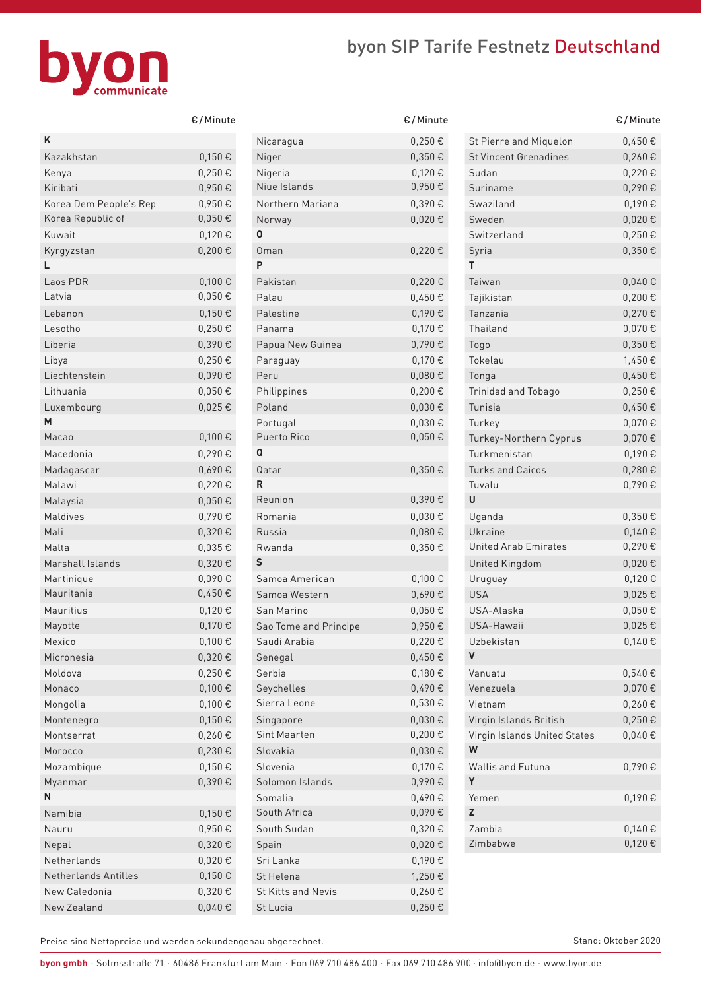## byon SIP Tarife Festnetz Deutschland



|                        | c/miliute   |
|------------------------|-------------|
| Κ                      |             |
| Kazakhstan             | 0,150€      |
| Kenya                  | 0,250€      |
| Kiribati               | 0,950€      |
| Korea Dem People's Rep | 0,950€      |
| Korea Republic of      | $0,050 \in$ |
| Kuwait                 | 0,120€      |
| Kyrgyzstan             | 0,200€      |
| L                      |             |
| Laos PDR               | 0,100€      |
| Latvia                 | $0,050 \in$ |
| Lebanon                | 0,150€      |
| Lesotho                | $0,250 \in$ |
| Liberia                | 0,390€      |
| Libya                  | 0,250€      |
| Liechtenstein          | 0,090€      |
| Lithuania              | $0,050 \in$ |
|                        |             |
| Luxembourg<br>М        | 0,025€      |
| Macao                  | 0,100€      |
| Macedonia              |             |
|                        | 0,290€      |
| Madagascar             | 0,690€      |
| Malawi                 | 0,220€      |
| Malaysia               | $0,050 \in$ |
| Maldives               | 0,790€      |
| Mali                   | 0,320€      |
| Malta                  | 0,035€      |
| Marshall Islands       | 0,320€      |
| Martinique             | 0,090€      |
| Mauritania             | 0,450€      |
| Mauritius              | 0,120€      |
| Mayotte                | 0,170€      |
| Mexico                 | $0,100 \in$ |
| Micronesia             | 0,320€      |
| Moldova                | 0,250€      |
| Monaco                 | 0,100€      |
| Mongolia               | 0,100€      |
| Montenegro             | 0,150€      |
| Montserrat             | 0,260€      |
| Morocco                | 0,230€      |
| Mozambique             | 0,150€      |
| Myanmar                | 0,390€      |
| N                      |             |
| Namibia                | 0,150€      |
| Nauru                  | 0,950€      |
| Nepal                  | 0,320€      |
| Netherlands            | 0,020€      |
| Netherlands Antilles   | 0,150€      |
| New Caledonia          | 0,320€      |
| New Zealand            | 0,040€      |
|                        |             |

| €/Minute    |                       | €/Minute    |                              | €/Minute    |
|-------------|-----------------------|-------------|------------------------------|-------------|
|             | Nicaragua             | $0,250 \in$ | St Pierre and Miquelon       | 0,450€      |
| 0,150€      | Niger                 | $0,350 \in$ | <b>St Vincent Grenadines</b> | $0,260 \in$ |
| 0,250€      | Nigeria               | 0,120€      | Sudan                        | 0,220€      |
| 0,950€      | Niue Islands          | 0,950€      | Suriname                     | 0,290€      |
| 0,950€      | Northern Mariana      | 0,390€      | Swaziland                    | 0,190€      |
| $0,050 \in$ | Norway                | 0,020€      | Sweden                       | $0,020 \in$ |
| 0,120€      | $\mathbf 0$           |             | Switzerland                  | $0,250 \in$ |
| $0,200 \in$ | <b>Oman</b>           | 0,220€      | Syria                        | $0,350 \in$ |
|             | P                     |             | т                            |             |
| 0,100€      | Pakistan              | 0,220€      | Taiwan                       | 0,040€      |
| $0,050 \in$ | Palau                 | 0,450€      | Tajikistan                   | $0,200 \in$ |
| 0,150€      | Palestine             | 0,190€      | Tanzania                     | $0,270 \in$ |
| 0,250€      | Panama                | 0,170€      | Thailand                     | $0,070 \in$ |
| 0,390€      | Papua New Guinea      | 0,790€      | Togo                         | $0,350 \in$ |
| 0,250€      | Paraguay              | 0,170€      | Tokelau                      | 1,450€      |
| 0,090€      | Peru                  | 0,080€      | Tonga                        | $0,450 \in$ |
| $0,050 \in$ | Philippines           | $0,200 \in$ | Trinidad and Tobago          | $0,250 \in$ |
| $0,025 \in$ | Poland                | 0,030€      | Tunisia                      | $0,450 \in$ |
|             | Portugal              | 0,030€      | Turkey                       | $0,070 \in$ |
| 0,100€      | Puerto Rico           | $0,050 \in$ | Turkey-Northern Cyprus       | $0,070 \in$ |
| 0,290€      | Q                     |             | Turkmenistan                 | 0,190€      |
| 0,690€      | Qatar                 | $0,350 \in$ | <b>Turks and Caicos</b>      | $0,280 \in$ |
| 0,220€      | R                     |             | Tuvalu                       | 0,790€      |
| $0,050 \in$ | Reunion               | 0,390€      | U                            |             |
| 0,790€      | Romania               | 0,030€      | Uganda                       | $0,350 \in$ |
| 0,320€      | Russia                | 0,080€      | Ukraine                      | 0,140€      |
| $0,035 \in$ | Rwanda                | $0,350 \in$ | <b>United Arab Emirates</b>  | 0,290€      |
| 0,320€      | S                     |             | United Kingdom               | 0,020€      |
| 0,090€      | Samoa American        | 0,100€      | Uruguay                      | $0,120 \in$ |
| 0,450€      | Samoa Western         | 0,690€      | <b>USA</b>                   | $0,025 \in$ |
| 0,120€      | San Marino            | 0,050€      | USA-Alaska                   | $0,050 \in$ |
| 0,170€      | Sao Tome and Principe | 0,950€      | USA-Hawaii                   | $0,025 \in$ |
| $0,100 \in$ | Saudi Arabia          | 0,220€      | Uzbekistan                   | $0,140 \in$ |
| 0,320€      | Senegal               | $0,450 \in$ | V                            |             |
| $0,250 \in$ | Serbia                | 0,180€      | Vanuatu                      | 0,540€      |
| 0,100€      | Seychelles            | 0,490€      | Venezuela                    | $0,070 \in$ |
| 0,100€      | Sierra Leone          | $0,530 \in$ | Vietnam                      | $0,260 \in$ |
| 0,150€      | Singapore             | 0,030€      | Virgin Islands British       | $0,250 \in$ |
| 0,260€      | Sint Maarten          | 0,200€      | Virgin Islands United States | $0,040 \in$ |
| $0,230 \in$ | Slovakia              | $0,030 \in$ | W                            |             |
| $0,150 \in$ | Slovenia              | 0,170€      | Wallis and Futuna            | $0,790 \in$ |
| 0,390€      | Solomon Islands       | 0,990€      | Y                            |             |
|             | Somalia               | 0,490€      | Yemen                        | $0,190 \in$ |
| 0,150€      | South Africa          | $0,090 \in$ | Z                            |             |
| $0,950 \in$ | South Sudan           | 0,320€      | Zambia                       | 0,140€      |
| $0,320 \in$ | Spain                 | $0,020 \in$ | Zimbabwe                     | $0,120 \in$ |
| $0,020 \in$ | Sri Lanka             | 0,190€      |                              |             |
| $0,150 \in$ | St Helena             | 1,250€      |                              |             |
| $0,320 \in$ | St Kitts and Nevis    | $0,260 \in$ |                              |             |
| $0,040 \in$ | St Lucia              | $0,250 \in$ |                              |             |
|             |                       |             |                              |             |

|                                   | €/Minute    |
|-----------------------------------|-------------|
| St Pierre and Miquelon            | 0,450€      |
| <b>St Vincent Grenadines</b>      | $0,260 \in$ |
| Sudan                             | 0.220€      |
| Suriname                          | 0,290€      |
| Swaziland                         | 0,190€      |
| Sweden                            | 0,020€      |
| Switzerland                       | $0,250 \in$ |
| Syria                             | 0,350€      |
| т                                 |             |
| Taiwan                            | 0,040€      |
| Tajikistan                        | $0,200 \in$ |
| Tanzania                          | 0,270€      |
| Thailand                          | 0,070€      |
| Togo                              | 0,350€      |
| Tokelau                           | 1,450€      |
| Tonga                             | 0,450€      |
| <b>Trinidad and Tobago</b>        | 0,250€      |
| Tunisia                           | $0.450 \in$ |
| Turkey                            | 0,070€      |
| Turkey-Northern Cyprus            | 0,070€      |
| Turkmenistan                      | 0,190€      |
| <b>Turks and Caicos</b>           | 0,280€      |
| Tuvalu                            | 0,790€      |
| U                                 |             |
| Uganda                            | $0,350 \in$ |
| Ukraine                           | 0,140€      |
| <b>United Arab Emirates</b>       | 0,290€      |
| United Kingdom                    | 0,020€      |
| Uruguay                           | 0,120€      |
| <b>USA</b>                        | $0,025 \in$ |
| USA-Alaska                        | 0,050€      |
| USA-Hawaii                        | 0,025€      |
| Uzbekistan                        | 0,140€      |
| V                                 |             |
| Vanuatu                           | 0,540€      |
| Venezuela                         | 0,070€      |
| Vietnam                           | $0,260 \in$ |
| Virgin Islands British            | $0,250 \in$ |
| Virgin Islands United States<br>W | 0,040€      |
| <b>Wallis and Futuna</b><br>Υ     | 0,790€      |
| Yemen                             | 0,190€      |
| Z                                 |             |
| Zambia                            | 0,140€      |
| Zimbabwe                          | 0,120€      |
|                                   |             |

Preise sind Nettopreise und werden sekundengenau abgerechnet.

Stand: Oktober 2020

**byon gmbh** · Solmsstraße 71 · 60486 Frankfurt am Main · Fon 069 710 486 400 · Fax 069 710 486 900 · info@byon.de · www.byon.de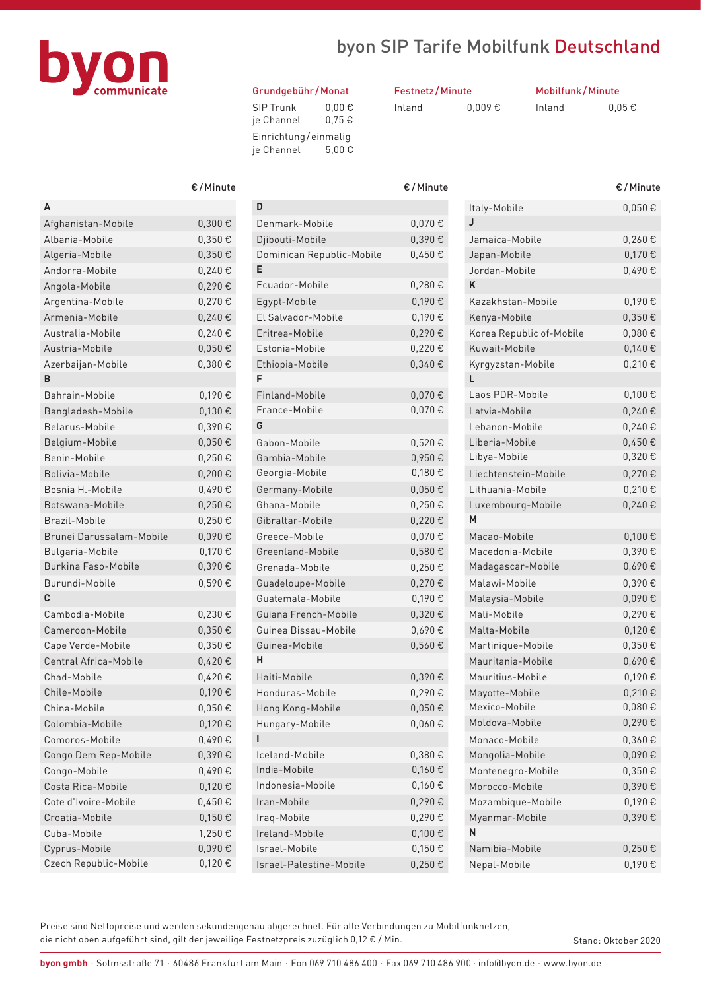

### byon SIP Tarife Mobilfunk Deutschland

#### Grundgebühr /Monat

| <b>SIP Trunk</b><br>je Channel | $0.00 \in$<br>0.75€ |
|--------------------------------|---------------------|
| Einrichtung/einmalig           |                     |
| je Channel                     | 5.00€               |

| <b>Festnetz/Minute</b> |             |  |
|------------------------|-------------|--|
| Inland                 | $0.009 \in$ |  |

Mobilfunk/Minute

Inland  $0,05 \in$ 

|                            | €/Minute    |
|----------------------------|-------------|
| Α                          |             |
| Afghanistan-Mobile         | 0,300€      |
| Albania-Mobile             | 0,350€      |
| Algeria-Mobile             | 0,350€      |
| Andorra-Mobile             | 0,240€      |
| Angola-Mobile              | 0,290€      |
| Argentina-Mobile           | 0,270€      |
| Armenia-Mobile             | 0,240€      |
| Australia-Mobile           | 0,240€      |
| Austria-Mobile             | 0,050€      |
| Azerbaijan-Mobile          | 0,380€      |
| в                          |             |
| Bahrain-Mobile             | 0,190€      |
| Bangladesh-Mobile          | 0,130€      |
| Belarus-Mobile             | 0,390€      |
| Belgium-Mobile             | 0,050€      |
| Benin-Mobile               | 0,250€      |
| Bolivia-Mobile             | 0,200€      |
| Bosnia H.-Mobile           | 0,490€      |
| Botswana-Mobile            | 0,250€      |
| Brazil-Mobile              | 0,250€      |
| Brunei Darussalam-Mobile   | 0,090€      |
| Bulgaria-Mobile            | 0,170€      |
| <b>Burkina Faso-Mobile</b> | 0,390€      |
| Burundi-Mobile             | 0,590€      |
| C                          |             |
| Cambodia-Mobile            | 0,230€      |
| Cameroon-Mobile            | 0,350€      |
| Cape Verde-Mobile          | 0,350€      |
| Central Africa-Mobile      | 0,420€      |
| Chad-Mobile                | 0,420€      |
| Chile-Mobile               | 0,190€      |
| China-Mobile               | $0,050 \in$ |
| Colombia-Mobile            | 0,120€      |
| Comoros-Mobile             | 0,490€      |
| Congo Dem Rep-Mobile       | 0,390€      |
| Congo-Mobile               | 0,490€      |
| Costa Rica-Mobile          | 0,120€      |
| Cote d'Ivoire-Mobile       | 0,450€      |
| Croatia-Mobile             | 0,150€      |
| Cuba-Mobile                | 1.250€      |
| Cyprus-Mobile              | 0,090€      |
| Czech Republic-Mobile      | 0,120€      |

|                           | $\epsilon$ / Miliute |
|---------------------------|----------------------|
| D                         |                      |
| Denmark-Mobile            | $0,070 \in$          |
| Djibouti-Mobile           | 0,390€               |
| Dominican Republic-Mobile | $0,450 \in$          |
| Е                         |                      |
| Ecuador-Mobile            | $0,280 \in$          |
| Egypt-Mobile              | 0,190€               |
| El Salvador-Mobile        | 0,190€               |
| Eritrea-Mobile            | 0,290€               |
| Estonia-Mobile            | 0,220€               |
| Ethiopia-Mobile           | 0,340€               |
| F                         |                      |
| Finland-Mobile            | 0,070€               |
| France-Mobile             | 0,070€               |
| G                         |                      |
| Gabon-Mobile              | 0,520€               |
| Gambia-Mobile             | 0.950€               |
| Georgia-Mobile            | 0,180€               |
| Germany-Mobile            | 0,050€               |
| Ghana-Mobile              | 0,250€               |
| Gibraltar-Mobile          | 0.220€               |
| Greece-Mobile             | 0,070€               |
| Greenland-Mobile          | $0,580 \in$          |
| Grenada-Mobile            | 0,250€               |
| Guadeloupe-Mobile         | 0,270€               |
| Guatemala-Mobile          | 0,190€               |
| Guiana French-Mobile      | 0,320€               |
| Guinea Bissau-Mobile      | 0,690€               |
| Guinea-Mobile             | 0,560€               |
| н                         |                      |
| Haiti-Mobile              | 0,390€               |
| Honduras-Mobile           | 0,290€               |
| Hong Kong-Mobile          | $0,050 \in$          |
| Hungary-Mobile            | $0,060 \in$          |
|                           |                      |
| Iceland-Mobile            | 0,380€               |
| India-Mobile              | 0,160€               |
| Indonesia-Mobile          | $0,160 \in$          |
| Iran-Mobile               | 0.290€               |
| Iraq-Mobile               | 0,290€               |
| Ireland-Mobile            | 0,100€               |
| Israel-Mobile             | 0,150€               |
| Israel-Palestine-Mobile   | $0,250 \in$          |

| €/Minute    |                           | €/Minute    |                          | €/Minute    |
|-------------|---------------------------|-------------|--------------------------|-------------|
|             | D                         |             | Italy-Mobile             | $0,050 \in$ |
| 0,300€      | Denmark-Mobile            | 0,070€      | J                        |             |
| 0,350€      | Djibouti-Mobile           | 0,390€      | Jamaica-Mobile           | 0,260€      |
| $0,350 \in$ | Dominican Republic-Mobile | 0,450€      | Japan-Mobile             | 0,170€      |
| 0,240€      | E                         |             | Jordan-Mobile            | 0,490€      |
| 0,290€      | Ecuador-Mobile            | 0,280€      | K                        |             |
| 0,270€      | Egypt-Mobile              | 0,190€      | Kazakhstan-Mobile        | 0,190€      |
| 0,240€      | El Salvador-Mobile        | 0,190€      | Kenya-Mobile             | $0,350 \in$ |
| 0,240€      | Eritrea-Mobile            | 0,290€      | Korea Republic of-Mobile | 0,080€      |
| $0,050 \in$ | Estonia-Mobile            | 0,220€      | Kuwait-Mobile            | $0,140 \in$ |
| 0,380€      | Ethiopia-Mobile           | 0,340€      | Kyrgyzstan-Mobile        | 0,210€      |
|             | F                         |             | L                        |             |
| 0,190€      | Finland-Mobile            | 0,070€      | Laos PDR-Mobile          | $0,100 \in$ |
| 0,130€      | France-Mobile             | $0,070 \in$ | Latvia-Mobile            | 0,240€      |
| 0,390€      | G                         |             | Lebanon-Mobile           | 0,240€      |
| $0,050 \in$ | Gabon-Mobile              | 0,520€      | Liberia-Mobile           | 0,450€      |
| 0,250€      | Gambia-Mobile             | 0,950€      | Libya-Mobile             | 0,320€      |
| 0,200€      | Georgia-Mobile            | $0,180 \in$ | Liechtenstein-Mobile     | 0,270€      |
| 0,490€      | Germany-Mobile            | 0,050€      | Lithuania-Mobile         | 0,210€      |
| 0,250€      | Ghana-Mobile              | 0,250€      | Luxembourg-Mobile        | $0,240 \in$ |
| $0,250 \in$ | Gibraltar-Mobile          | 0,220€      | M                        |             |
| 0,090€      | Greece-Mobile             | 0,070€      | Macao-Mobile             | 0,100€      |
| 0,170€      | Greenland-Mobile          | 0,580€      | Macedonia-Mobile         | 0,390€      |
| $0,390 \in$ | Grenada-Mobile            | 0,250€      | Madagascar-Mobile        | $0,690 \in$ |
| 0,590€      | Guadeloupe-Mobile         | 0,270€      | Malawi-Mobile            | 0,390€      |
|             | Guatemala-Mobile          | 0,190€      | Malaysia-Mobile          | 0,090€      |
| 0,230€      | Guiana French-Mobile      | 0,320€      | Mali-Mobile              | 0,290€      |
| $0,350 \in$ | Guinea Bissau-Mobile      | 0,690€      | Malta-Mobile             | $0,120 \in$ |
| 0,350€      | Guinea-Mobile             | $0,560 \in$ | Martinique-Mobile        | $0,350 \in$ |
| 0,420€      | н                         |             | Mauritania-Mobile        | 0,690€      |
| 0,420€      | Haiti-Mobile              | 0,390€      | Mauritius-Mobile         | 0,190€      |
| 0,190€      | Honduras-Mobile           | 0,290€      | Mayotte-Mobile           | 0,210€      |
| $0,050 \in$ | Hong Kong-Mobile          | 0,050€      | Mexico-Mobile            | 0,080€      |
| 0,120€      | Hungary-Mobile            | 0,060€      | Moldova-Mobile           | 0,290€      |
| 0,490€      | T                         |             | Monaco-Mobile            | 0,360€      |
| $0,390 \in$ | Iceland-Mobile            | 0,380€      | Mongolia-Mobile          | $0,090 \in$ |
| 0,490€      | India-Mobile              | $0,160 \in$ | Montenegro-Mobile        | $0,350 \in$ |
| 0,120€      | Indonesia-Mobile          | $0,160 \in$ | Morocco-Mobile           | $0,390 \in$ |
| $0,450 \in$ | Iran-Mobile               | 0,290€      | Mozambique-Mobile        | $0,190 \in$ |
| $0,150 \in$ | Iraq-Mobile               | $0,290 \in$ | Myanmar-Mobile           | $0,390 \in$ |
| 1,250€      | Ireland-Mobile            | 0,100€      | N                        |             |
| 0,090€      | Israel-Mobile             | $0,150 \in$ | Namibia-Mobile           | $0,250 \in$ |
| $0,120 \in$ | Israel-Palestine-Mobile   | $0,250 \in$ | Nepal-Mobile             | $0,190 \in$ |

Preise sind Nettopreise und werden sekundengenau abgerechnet. Für alle Verbindungen zu Mobilfunknetzen, die nicht oben aufgeführt sind, gilt der jeweilige Festnetzpreis zuzüglich 0,12 € / Min.